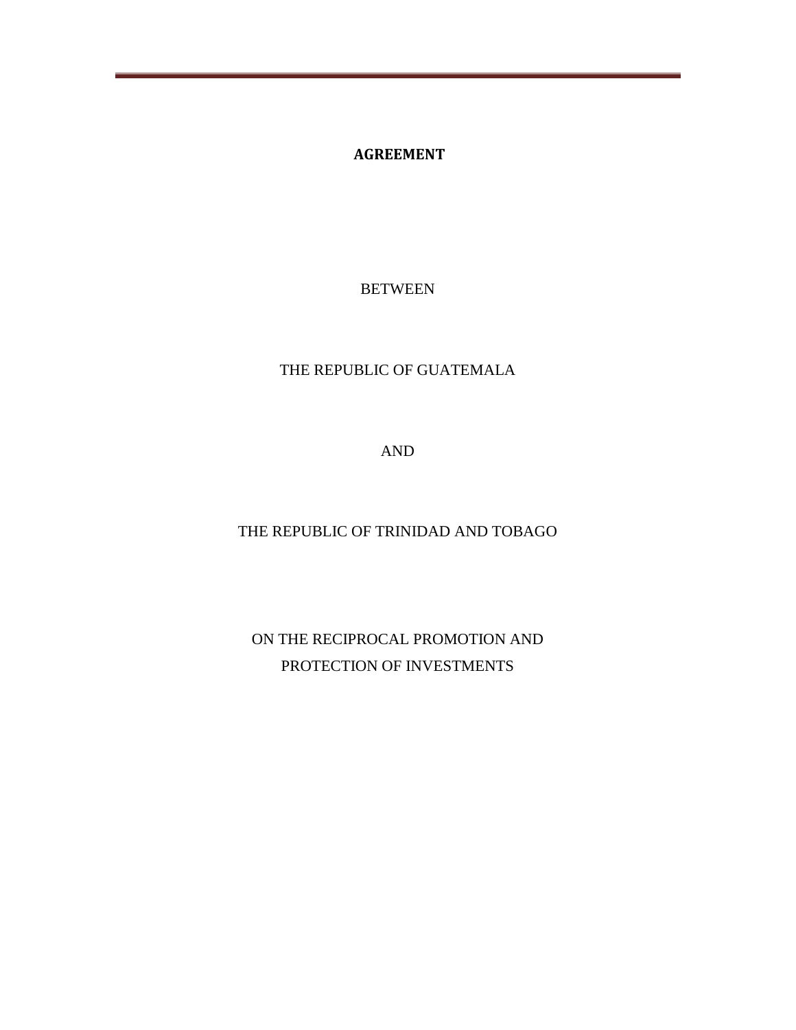**AGREEMENT**

BETWEEN

### THE REPUBLIC OF GUATEMALA

AND

THE REPUBLIC OF TRINIDAD AND TOBAGO

ON THE RECIPROCAL PROMOTION AND PROTECTION OF INVESTMENTS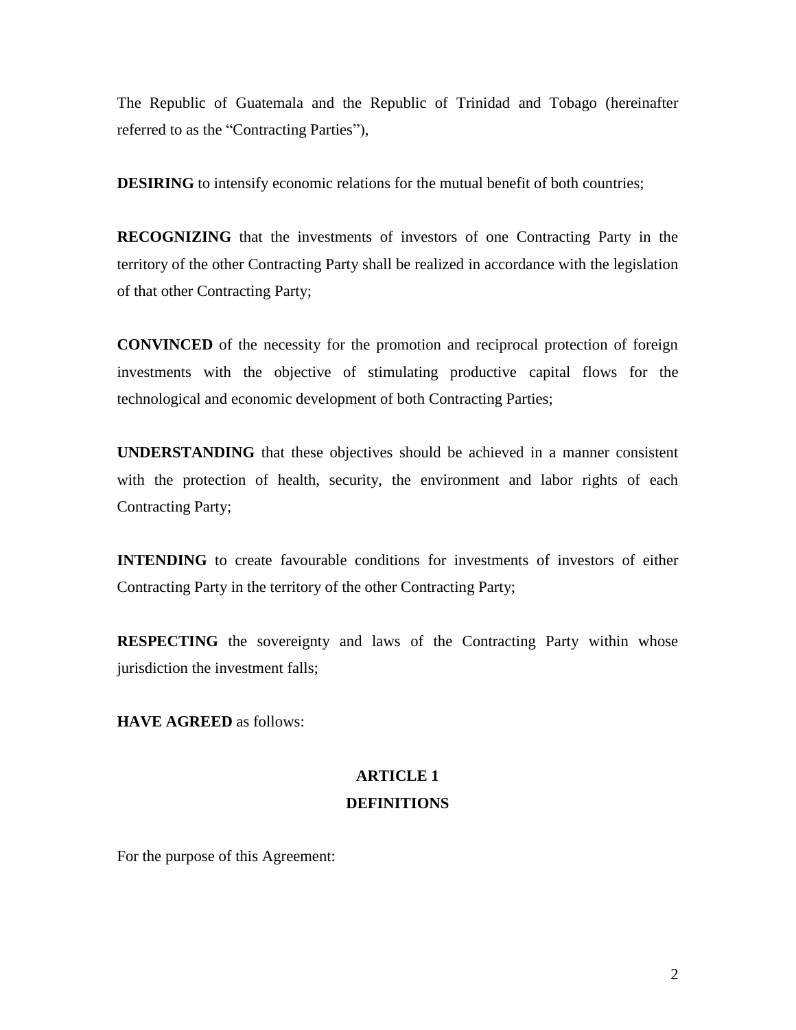The Republic of Guatemala and the Republic of Trinidad and Tobago (hereinafter referred to as the "Contracting Parties"),

**DESIRING** to intensify economic relations for the mutual benefit of both countries;

**RECOGNIZING** that the investments of investors of one Contracting Party in the territory of the other Contracting Party shall be realized in accordance with the legislation of that other Contracting Party;

**CONVINCED** of the necessity for the promotion and reciprocal protection of foreign investments with the objective of stimulating productive capital flows for the technological and economic development of both Contracting Parties;

**UNDERSTANDING** that these objectives should be achieved in a manner consistent with the protection of health, security, the environment and labor rights of each Contracting Party;

**INTENDING** to create favourable conditions for investments of investors of either Contracting Party in the territory of the other Contracting Party;

**RESPECTING** the sovereignty and laws of the Contracting Party within whose jurisdiction the investment falls;

**HAVE AGREED** as follows:

### **ARTICLE 1 DEFINITIONS**

For the purpose of this Agreement: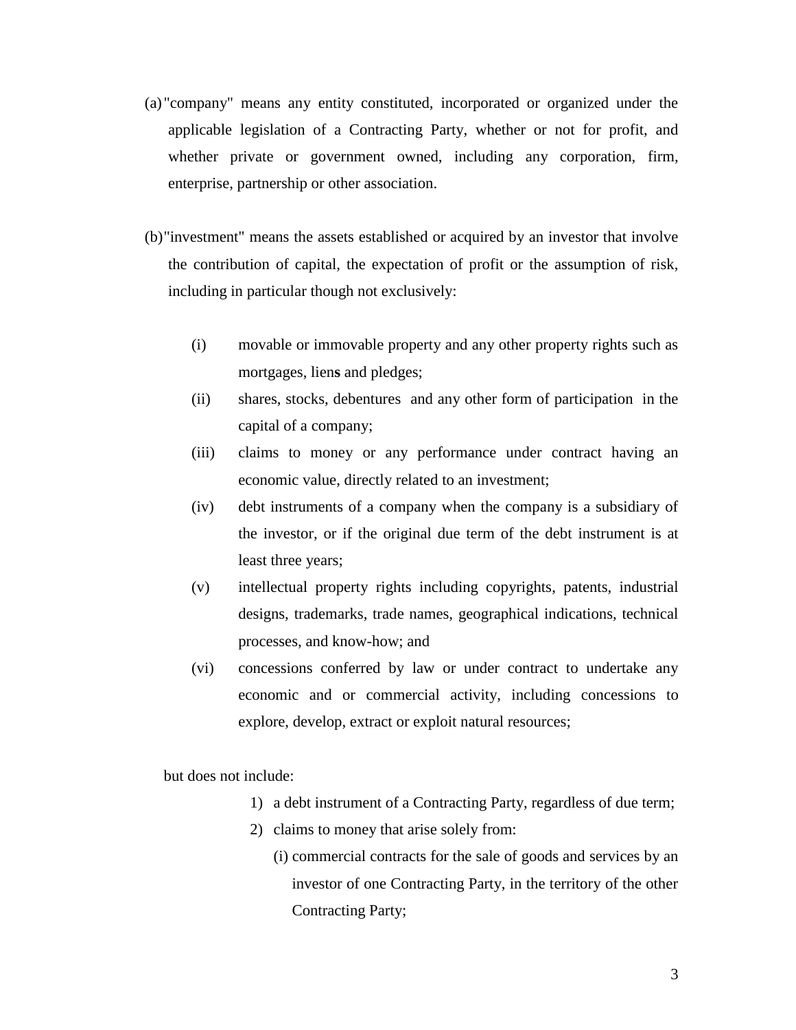- (a) "company" means any entity constituted, incorporated or organized under the applicable legislation of a Contracting Party, whether or not for profit, and whether private or government owned, including any corporation, firm, enterprise, partnership or other association.
- (b)"investment" means the assets established or acquired by an investor that involve the contribution of capital, the expectation of profit or the assumption of risk, including in particular though not exclusively:
	- (i) movable or immovable property and any other property rights such as mortgages, lien**s** and pledges;
	- (ii) shares, stocks, debentures and any other form of participation in the capital of a company;
	- (iii) claims to money or any performance under contract having an economic value, directly related to an investment;
	- (iv) debt instruments of a company when the company is a subsidiary of the investor, or if the original due term of the debt instrument is at least three years;
	- (v) intellectual property rights including copyrights, patents, industrial designs, trademarks, trade names, geographical indications, technical processes, and know-how; and
	- (vi) concessions conferred by law or under contract to undertake any economic and or commercial activity, including concessions to explore, develop, extract or exploit natural resources;

but does not include:

- 1) a debt instrument of a Contracting Party, regardless of due term;
- 2) claims to money that arise solely from:
	- (i) commercial contracts for the sale of goods and services by an investor of one Contracting Party, in the territory of the other Contracting Party;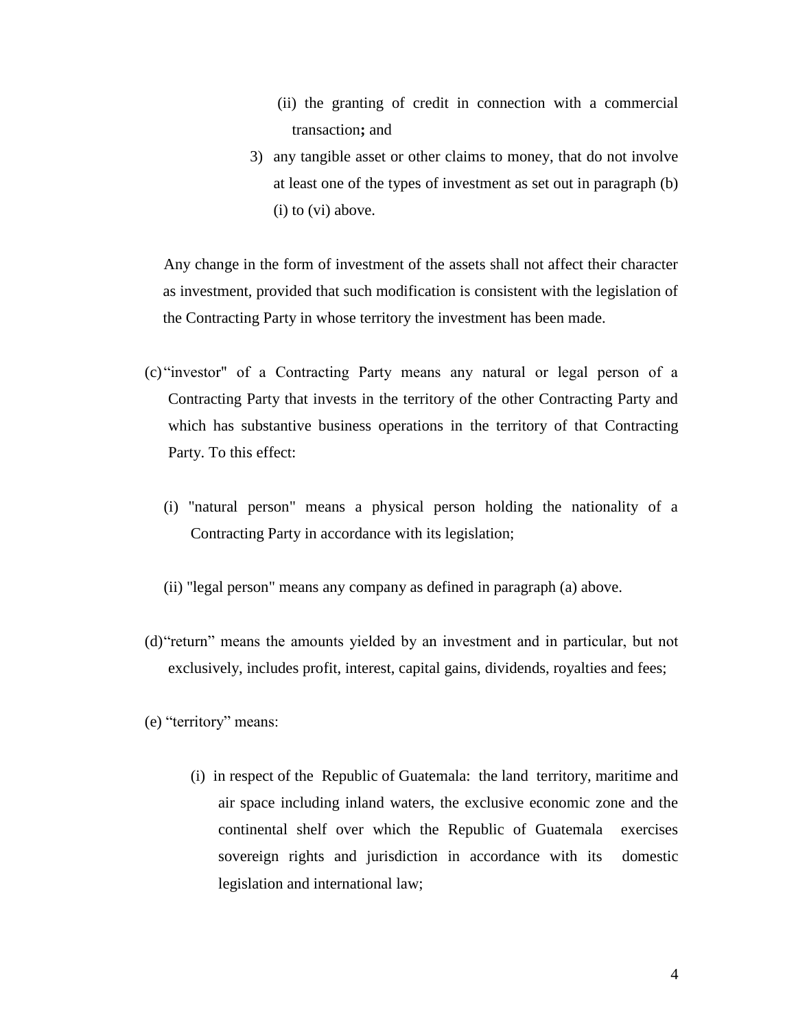- (ii) the granting of credit in connection with a commercial transaction**;** and
- 3) any tangible asset or other claims to money, that do not involve at least one of the types of investment as set out in paragraph (b) (i) to (vi) above.

Any change in the form of investment of the assets shall not affect their character as investment, provided that such modification is consistent with the legislation of the Contracting Party in whose territory the investment has been made.

- (c) "investor" of a Contracting Party means any natural or legal person of a Contracting Party that invests in the territory of the other Contracting Party and which has substantive business operations in the territory of that Contracting Party. To this effect:
	- (i) "natural person" means a physical person holding the nationality of a Contracting Party in accordance with its legislation;
	- (ii) "legal person" means any company as defined in paragraph (a) above.
- (d)"return" means the amounts yielded by an investment and in particular, but not exclusively, includes profit, interest, capital gains, dividends, royalties and fees;
- (e) "territory" means:
	- (i) in respect of the Republic of Guatemala: the land territory, maritime and air space including inland waters, the exclusive economic zone and the continental shelf over which the Republic of Guatemala exercises sovereign rights and jurisdiction in accordance with its domestic legislation and international law;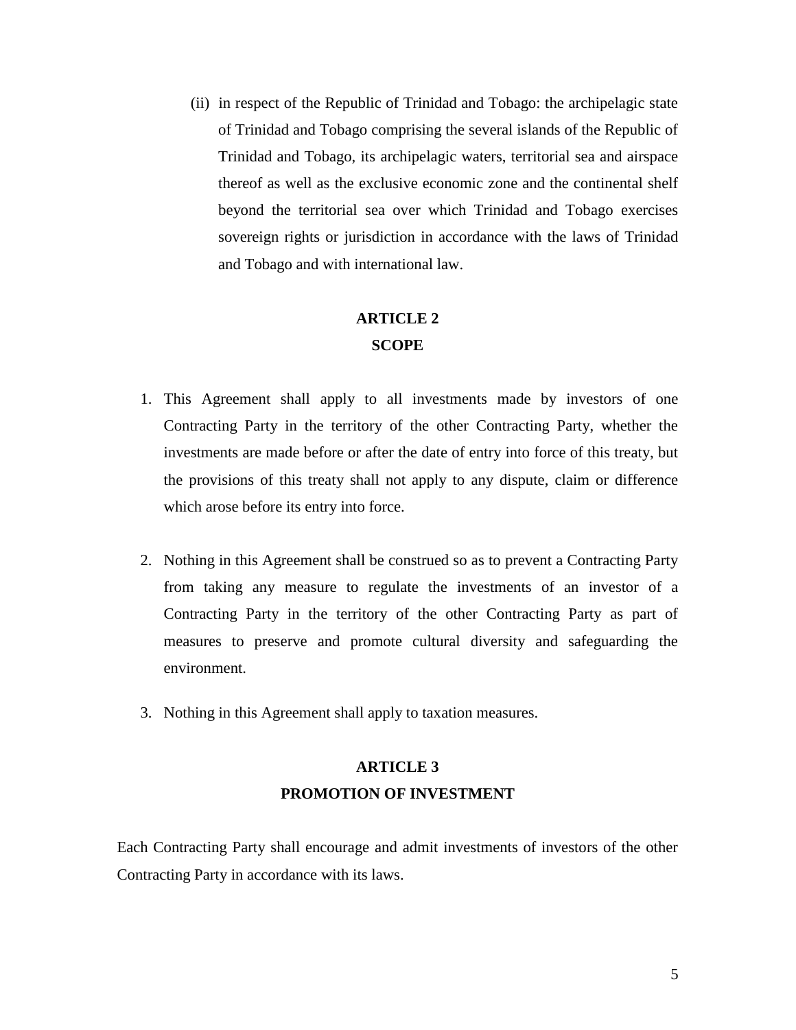(ii) in respect of the Republic of Trinidad and Tobago: the archipelagic state of Trinidad and Tobago comprising the several islands of the Republic of Trinidad and Tobago, its archipelagic waters, territorial sea and airspace thereof as well as the exclusive economic zone and the continental shelf beyond the territorial sea over which Trinidad and Tobago exercises sovereign rights or jurisdiction in accordance with the laws of Trinidad and Tobago and with international law.

### **ARTICLE 2 SCOPE**

- 1. This Agreement shall apply to all investments made by investors of one Contracting Party in the territory of the other Contracting Party, whether the investments are made before or after the date of entry into force of this treaty, but the provisions of this treaty shall not apply to any dispute, claim or difference which arose before its entry into force.
- 2. Nothing in this Agreement shall be construed so as to prevent a Contracting Party from taking any measure to regulate the investments of an investor of a Contracting Party in the territory of the other Contracting Party as part of measures to preserve and promote cultural diversity and safeguarding the environment.
- 3. Nothing in this Agreement shall apply to taxation measures.

### **ARTICLE 3 PROMOTION OF INVESTMENT**

Each Contracting Party shall encourage and admit investments of investors of the other Contracting Party in accordance with its laws.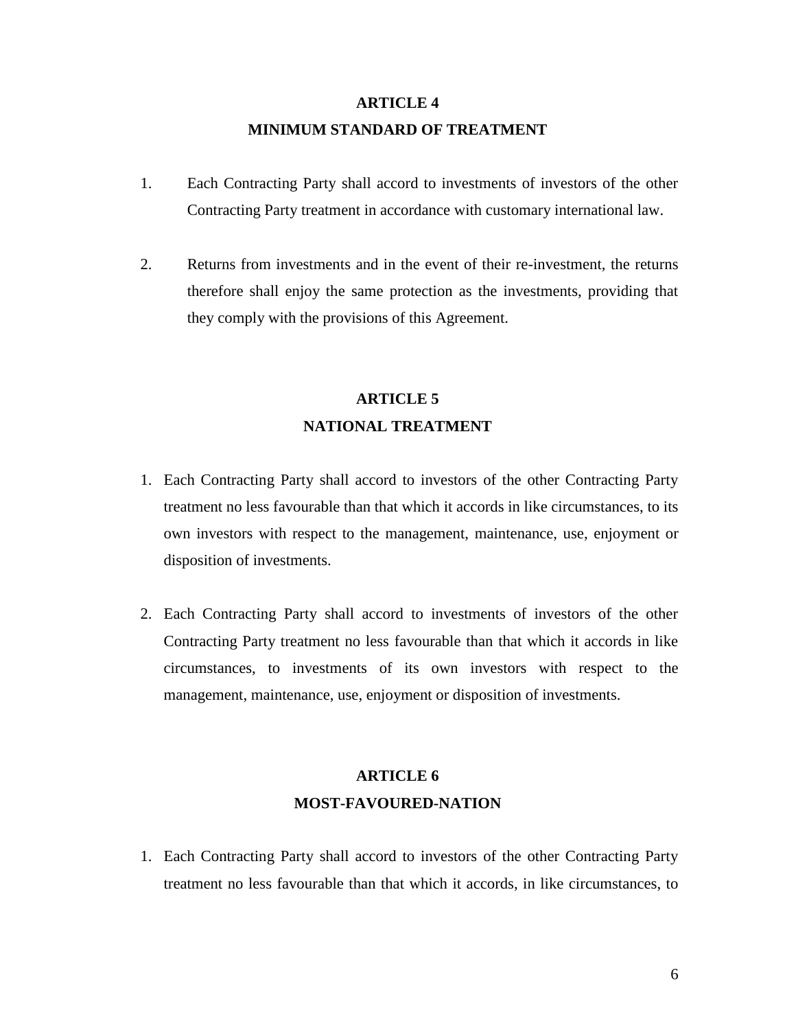### **ARTICLE 4 MINIMUM STANDARD OF TREATMENT**

- 1. Each Contracting Party shall accord to investments of investors of the other Contracting Party treatment in accordance with customary international law.
- 2. Returns from investments and in the event of their re-investment, the returns therefore shall enjoy the same protection as the investments, providing that they comply with the provisions of this Agreement.

## **ARTICLE 5 NATIONAL TREATMENT**

- 1. Each Contracting Party shall accord to investors of the other Contracting Party treatment no less favourable than that which it accords in like circumstances, to its own investors with respect to the management, maintenance, use, enjoyment or disposition of investments.
- 2. Each Contracting Party shall accord to investments of investors of the other Contracting Party treatment no less favourable than that which it accords in like circumstances, to investments of its own investors with respect to the management, maintenance, use, enjoyment or disposition of investments.

## **ARTICLE 6 MOST-FAVOURED-NATION**

1. Each Contracting Party shall accord to investors of the other Contracting Party treatment no less favourable than that which it accords, in like circumstances, to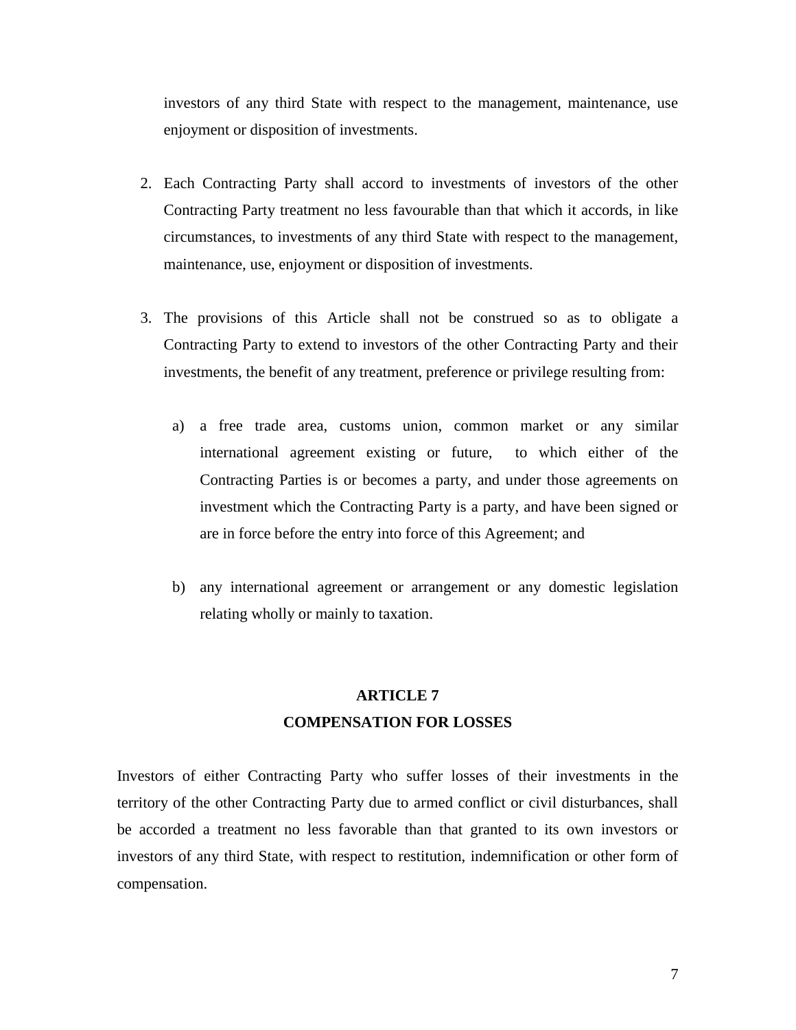investors of any third State with respect to the management, maintenance, use enjoyment or disposition of investments.

- 2. Each Contracting Party shall accord to investments of investors of the other Contracting Party treatment no less favourable than that which it accords, in like circumstances, to investments of any third State with respect to the management, maintenance, use, enjoyment or disposition of investments.
- 3. The provisions of this Article shall not be construed so as to obligate a Contracting Party to extend to investors of the other Contracting Party and their investments, the benefit of any treatment, preference or privilege resulting from:
	- a) a free trade area, customs union, common market or any similar international agreement existing or future, to which either of the Contracting Parties is or becomes a party, and under those agreements on investment which the Contracting Party is a party, and have been signed or are in force before the entry into force of this Agreement; and
	- b) any international agreement or arrangement or any domestic legislation relating wholly or mainly to taxation.

### **ARTICLE 7 COMPENSATION FOR LOSSES**

Investors of either Contracting Party who suffer losses of their investments in the territory of the other Contracting Party due to armed conflict or civil disturbances, shall be accorded a treatment no less favorable than that granted to its own investors or investors of any third State, with respect to restitution, indemnification or other form of compensation.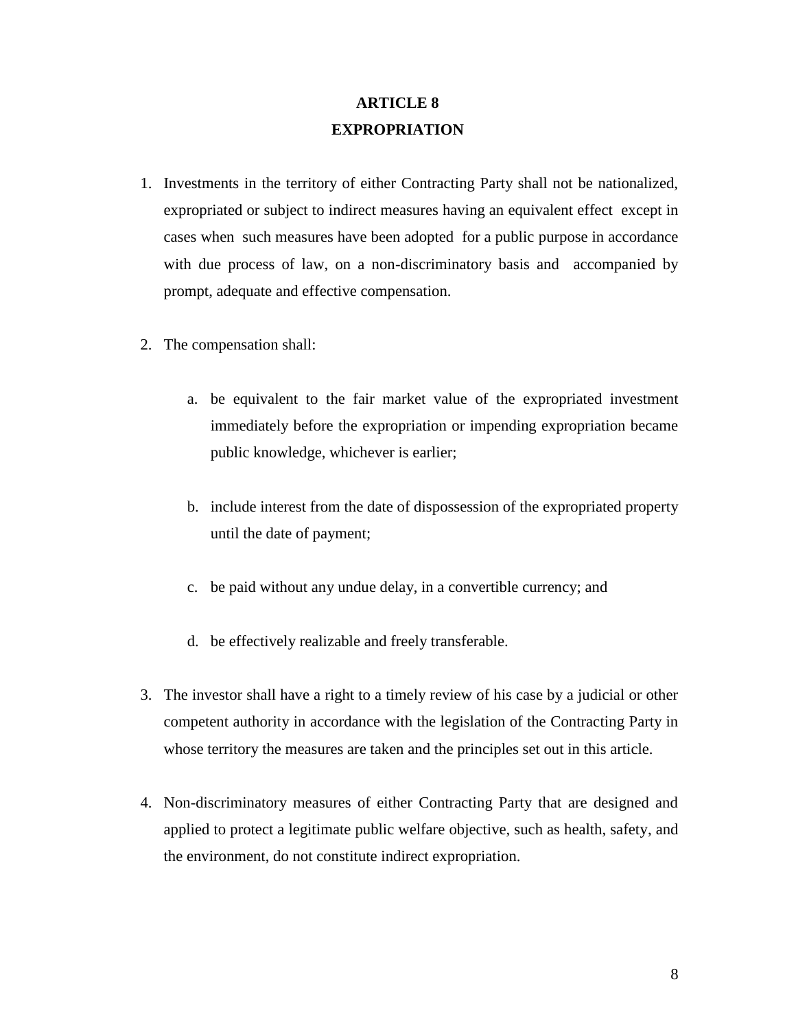### **ARTICLE 8 EXPROPRIATION**

- 1. Investments in the territory of either Contracting Party shall not be nationalized, expropriated or subject to indirect measures having an equivalent effect except in cases when such measures have been adopted for a public purpose in accordance with due process of law, on a non-discriminatory basis and accompanied by prompt, adequate and effective compensation.
- 2. The compensation shall:
	- a. be equivalent to the fair market value of the expropriated investment immediately before the expropriation or impending expropriation became public knowledge, whichever is earlier;
	- b. include interest from the date of dispossession of the expropriated property until the date of payment;
	- c. be paid without any undue delay, in a convertible currency; and
	- d. be effectively realizable and freely transferable.
- 3. The investor shall have a right to a timely review of his case by a judicial or other competent authority in accordance with the legislation of the Contracting Party in whose territory the measures are taken and the principles set out in this article.
- 4. Non-discriminatory measures of either Contracting Party that are designed and applied to protect a legitimate public welfare objective, such as health, safety, and the environment, do not constitute indirect expropriation.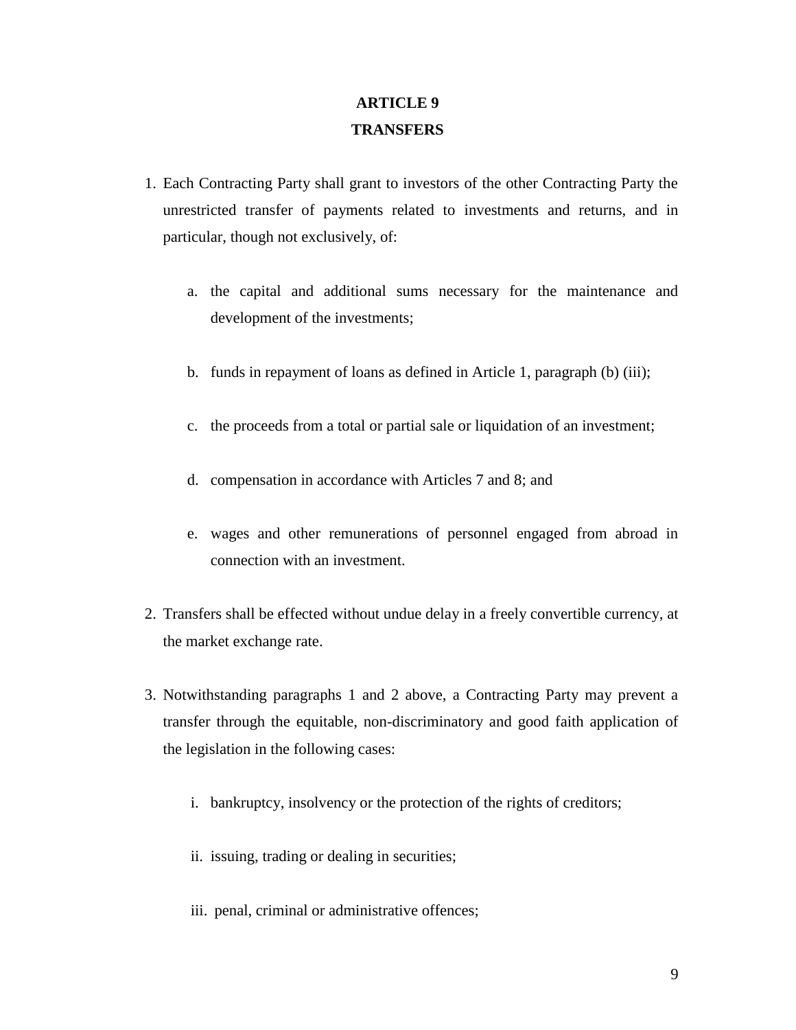### **ARTICLE 9 TRANSFERS**

- 1. Each Contracting Party shall grant to investors of the other Contracting Party the unrestricted transfer of payments related to investments and returns, and in particular, though not exclusively, of:
	- a. the capital and additional sums necessary for the maintenance and development of the investments;
	- b. funds in repayment of loans as defined in Article 1, paragraph (b) (iii);
	- c. the proceeds from a total or partial sale or liquidation of an investment;
	- d. compensation in accordance with Articles 7 and 8; and
	- e. wages and other remunerations of personnel engaged from abroad in connection with an investment.
- 2. Transfers shall be effected without undue delay in a freely convertible currency, at the market exchange rate.
- 3. Notwithstanding paragraphs 1 and 2 above, a Contracting Party may prevent a transfer through the equitable, non-discriminatory and good faith application of the legislation in the following cases:
	- i. bankruptcy, insolvency or the protection of the rights of creditors;
	- ii. issuing, trading or dealing in securities;
	- iii. penal, criminal or administrative offences;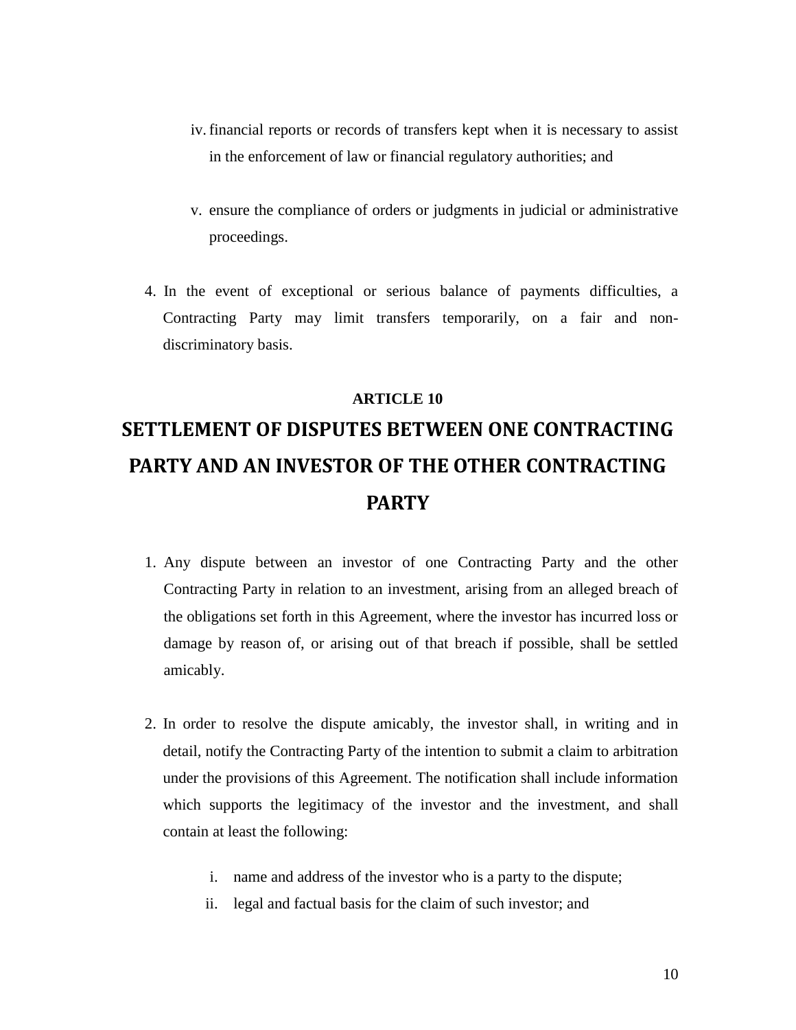- iv.financial reports or records of transfers kept when it is necessary to assist in the enforcement of law or financial regulatory authorities; and
- v. ensure the compliance of orders or judgments in judicial or administrative proceedings.
- 4. In the event of exceptional or serious balance of payments difficulties, a Contracting Party may limit transfers temporarily, on a fair and nondiscriminatory basis.

#### **ARTICLE 10**

# **SETTLEMENT OF DISPUTES BETWEEN ONE CONTRACTING PARTY AND AN INVESTOR OF THE OTHER CONTRACTING PARTY**

- 1. Any dispute between an investor of one Contracting Party and the other Contracting Party in relation to an investment, arising from an alleged breach of the obligations set forth in this Agreement, where the investor has incurred loss or damage by reason of, or arising out of that breach if possible, shall be settled amicably.
- 2. In order to resolve the dispute amicably, the investor shall, in writing and in detail, notify the Contracting Party of the intention to submit a claim to arbitration under the provisions of this Agreement. The notification shall include information which supports the legitimacy of the investor and the investment, and shall contain at least the following:
	- i. name and address of the investor who is a party to the dispute;
	- ii. legal and factual basis for the claim of such investor; and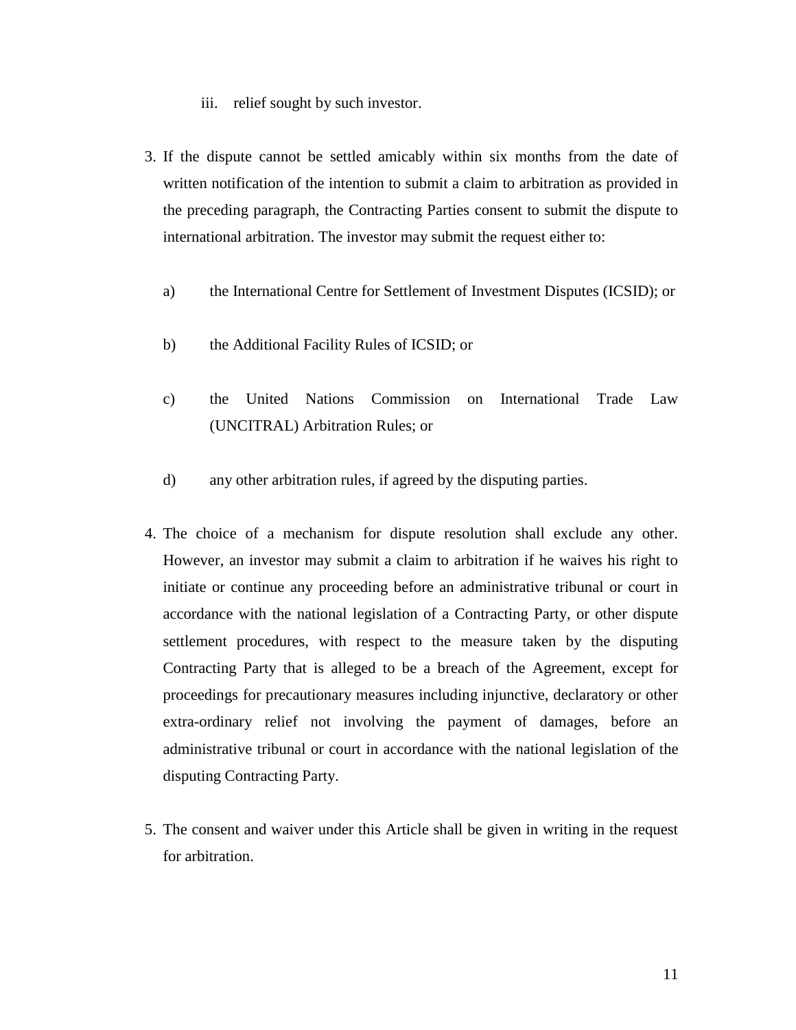- iii. relief sought by such investor.
- 3. If the dispute cannot be settled amicably within six months from the date of written notification of the intention to submit a claim to arbitration as provided in the preceding paragraph, the Contracting Parties consent to submit the dispute to international arbitration. The investor may submit the request either to:
	- a) the International Centre for Settlement of Investment Disputes (ICSID); or
	- b) the Additional Facility Rules of ICSID; or
	- c) the United Nations Commission on International Trade Law (UNCITRAL) Arbitration Rules; or
	- d) any other arbitration rules, if agreed by the disputing parties.
- 4. The choice of a mechanism for dispute resolution shall exclude any other. However, an investor may submit a claim to arbitration if he waives his right to initiate or continue any proceeding before an administrative tribunal or court in accordance with the national legislation of a Contracting Party, or other dispute settlement procedures, with respect to the measure taken by the disputing Contracting Party that is alleged to be a breach of the Agreement, except for proceedings for precautionary measures including injunctive, declaratory or other extra-ordinary relief not involving the payment of damages, before an administrative tribunal or court in accordance with the national legislation of the disputing Contracting Party.
- 5. The consent and waiver under this Article shall be given in writing in the request for arbitration.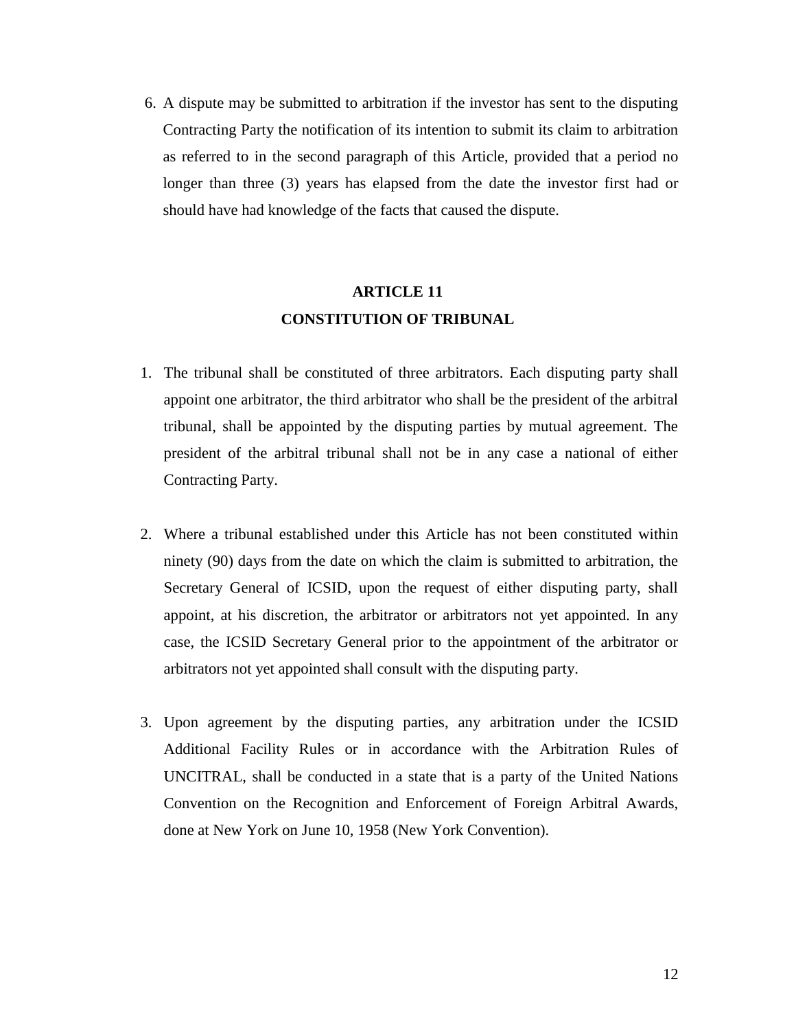6. A dispute may be submitted to arbitration if the investor has sent to the disputing Contracting Party the notification of its intention to submit its claim to arbitration as referred to in the second paragraph of this Article, provided that a period no longer than three (3) years has elapsed from the date the investor first had or should have had knowledge of the facts that caused the dispute.

### **ARTICLE 11 CONSTITUTION OF TRIBUNAL**

- 1. The tribunal shall be constituted of three arbitrators. Each disputing party shall appoint one arbitrator, the third arbitrator who shall be the president of the arbitral tribunal, shall be appointed by the disputing parties by mutual agreement. The president of the arbitral tribunal shall not be in any case a national of either Contracting Party.
- 2. Where a tribunal established under this Article has not been constituted within ninety (90) days from the date on which the claim is submitted to arbitration, the Secretary General of ICSID, upon the request of either disputing party, shall appoint, at his discretion, the arbitrator or arbitrators not yet appointed. In any case, the ICSID Secretary General prior to the appointment of the arbitrator or arbitrators not yet appointed shall consult with the disputing party.
- 3. Upon agreement by the disputing parties, any arbitration under the ICSID Additional Facility Rules or in accordance with the Arbitration Rules of UNCITRAL, shall be conducted in a state that is a party of the United Nations Convention on the Recognition and Enforcement of Foreign Arbitral Awards, done at New York on June 10, 1958 (New York Convention).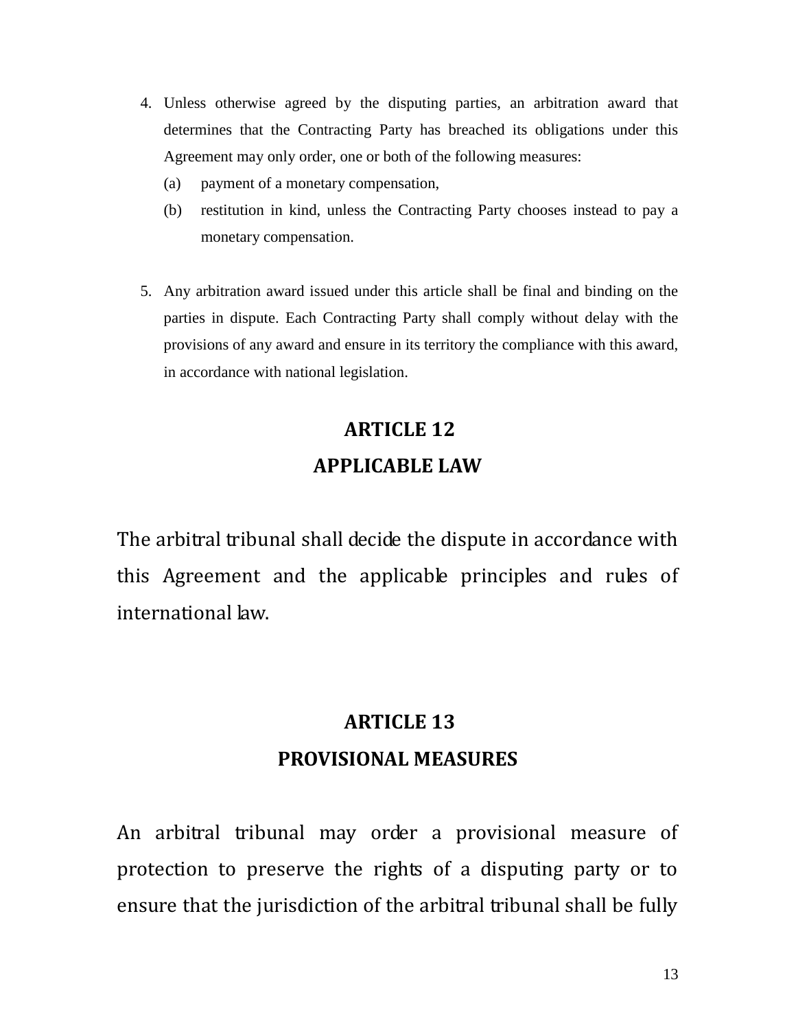- 4. Unless otherwise agreed by the disputing parties, an arbitration award that determines that the Contracting Party has breached its obligations under this Agreement may only order, one or both of the following measures:
	- (a) payment of a monetary compensation,
	- (b) restitution in kind, unless the Contracting Party chooses instead to pay a monetary compensation.
- 5. Any arbitration award issued under this article shall be final and binding on the parties in dispute. Each Contracting Party shall comply without delay with the provisions of any award and ensure in its territory the compliance with this award, in accordance with national legislation.

# **ARTICLE 12 APPLICABLE LAW**

The arbitral tribunal shall decide the dispute in accordance with this Agreement and the applicable principles and rules of international law.

# **ARTICLE 13 PROVISIONAL MEASURES**

An arbitral tribunal may order a provisional measure of protection to preserve the rights of a disputing party or to ensure that the jurisdiction of the arbitral tribunal shall be fully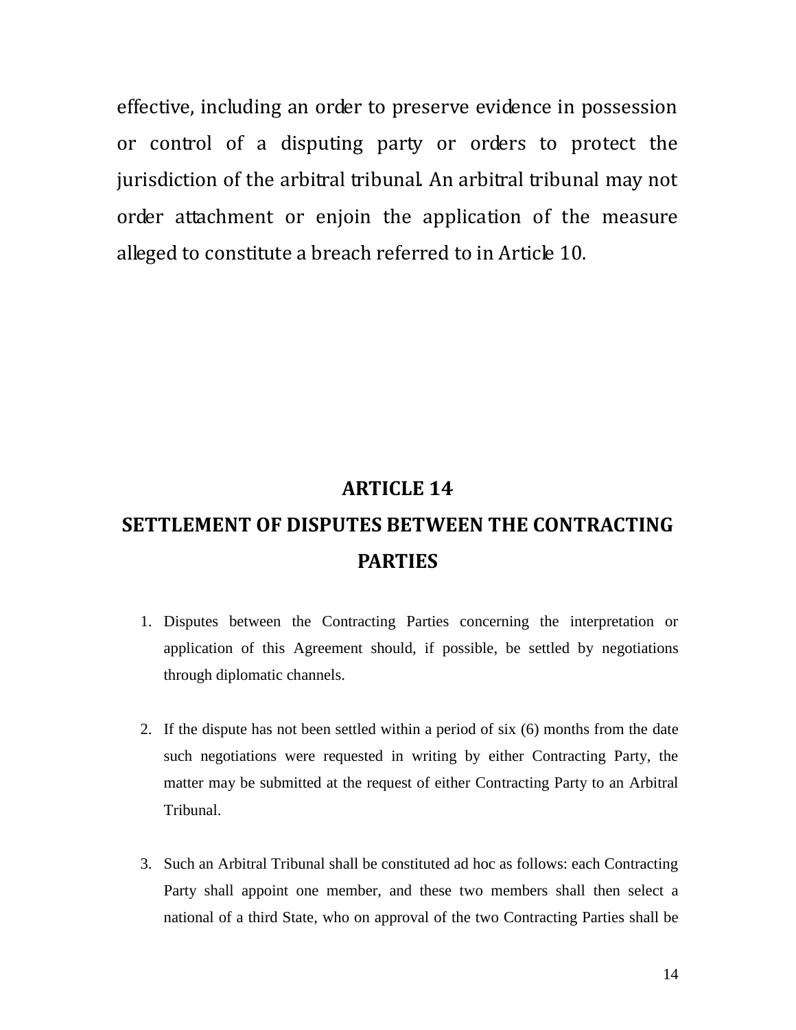effective, including an order to preserve evidence in possession or control of a disputing party or orders to protect the jurisdiction of the arbitral tribunal. An arbitral tribunal may not order attachment or enjoin the application of the measure alleged to constitute a breach referred to in Article 10.

### **ARTICLE 14**

# **SETTLEMENT OF DISPUTES BETWEEN THE CONTRACTING PARTIES**

- 1. Disputes between the Contracting Parties concerning the interpretation or application of this Agreement should, if possible, be settled by negotiations through diplomatic channels.
- 2. If the dispute has not been settled within a period of six (6) months from the date such negotiations were requested in writing by either Contracting Party, the matter may be submitted at the request of either Contracting Party to an Arbitral Tribunal.
- 3. Such an Arbitral Tribunal shall be constituted ad hoc as follows: each Contracting Party shall appoint one member, and these two members shall then select a national of a third State, who on approval of the two Contracting Parties shall be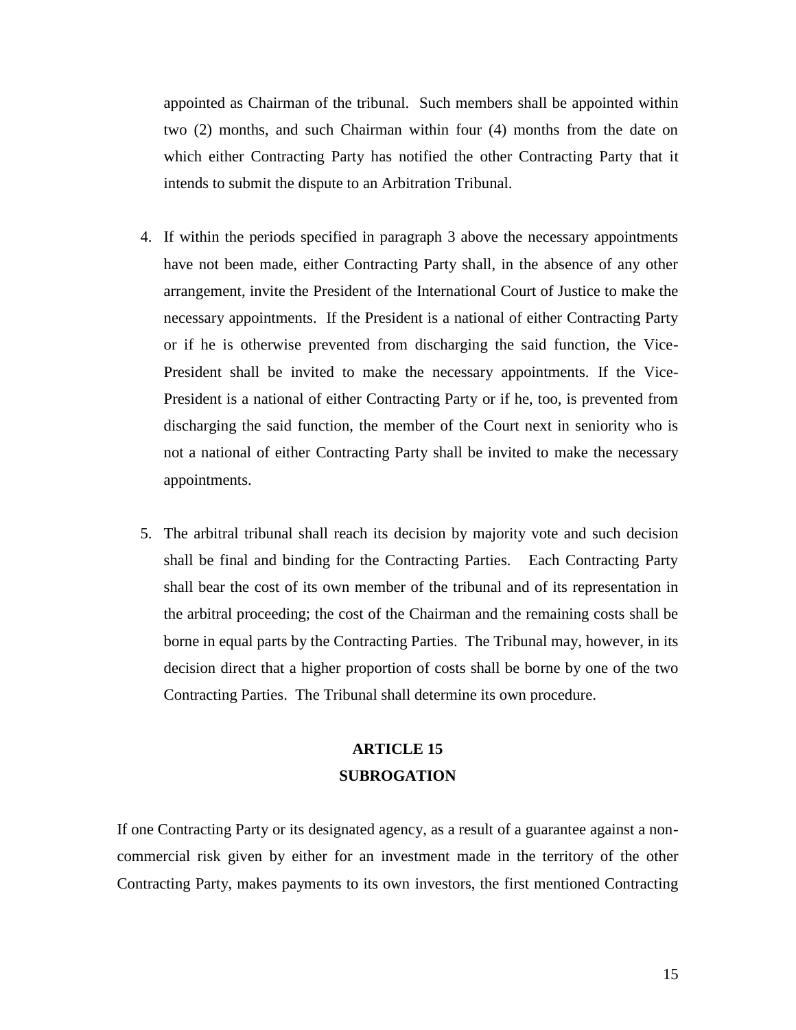appointed as Chairman of the tribunal. Such members shall be appointed within two (2) months, and such Chairman within four (4) months from the date on which either Contracting Party has notified the other Contracting Party that it intends to submit the dispute to an Arbitration Tribunal.

- 4. If within the periods specified in paragraph 3 above the necessary appointments have not been made, either Contracting Party shall, in the absence of any other arrangement, invite the President of the International Court of Justice to make the necessary appointments. If the President is a national of either Contracting Party or if he is otherwise prevented from discharging the said function, the Vice-President shall be invited to make the necessary appointments. If the Vice-President is a national of either Contracting Party or if he, too, is prevented from discharging the said function, the member of the Court next in seniority who is not a national of either Contracting Party shall be invited to make the necessary appointments.
- 5. The arbitral tribunal shall reach its decision by majority vote and such decision shall be final and binding for the Contracting Parties. Each Contracting Party shall bear the cost of its own member of the tribunal and of its representation in the arbitral proceeding; the cost of the Chairman and the remaining costs shall be borne in equal parts by the Contracting Parties. The Tribunal may, however, in its decision direct that a higher proportion of costs shall be borne by one of the two Contracting Parties. The Tribunal shall determine its own procedure.

### **ARTICLE 15 SUBROGATION**

If one Contracting Party or its designated agency, as a result of a guarantee against a noncommercial risk given by either for an investment made in the territory of the other Contracting Party, makes payments to its own investors, the first mentioned Contracting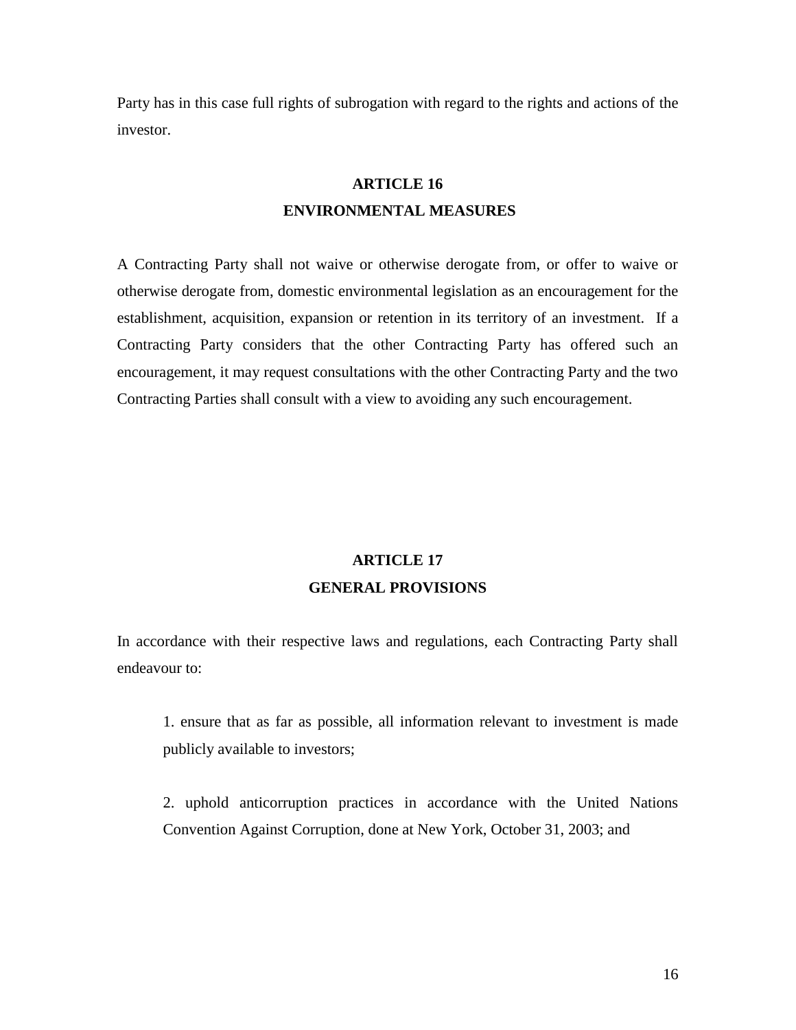Party has in this case full rights of subrogation with regard to the rights and actions of the investor.

### **ARTICLE 16 ENVIRONMENTAL MEASURES**

A Contracting Party shall not waive or otherwise derogate from, or offer to waive or otherwise derogate from, domestic environmental legislation as an encouragement for the establishment, acquisition, expansion or retention in its territory of an investment. If a Contracting Party considers that the other Contracting Party has offered such an encouragement, it may request consultations with the other Contracting Party and the two Contracting Parties shall consult with a view to avoiding any such encouragement.

### **ARTICLE 17 GENERAL PROVISIONS**

In accordance with their respective laws and regulations, each Contracting Party shall endeavour to:

1. ensure that as far as possible, all information relevant to investment is made publicly available to investors;

2. uphold anticorruption practices in accordance with the United Nations Convention Against Corruption, done at New York, October 31, 2003; and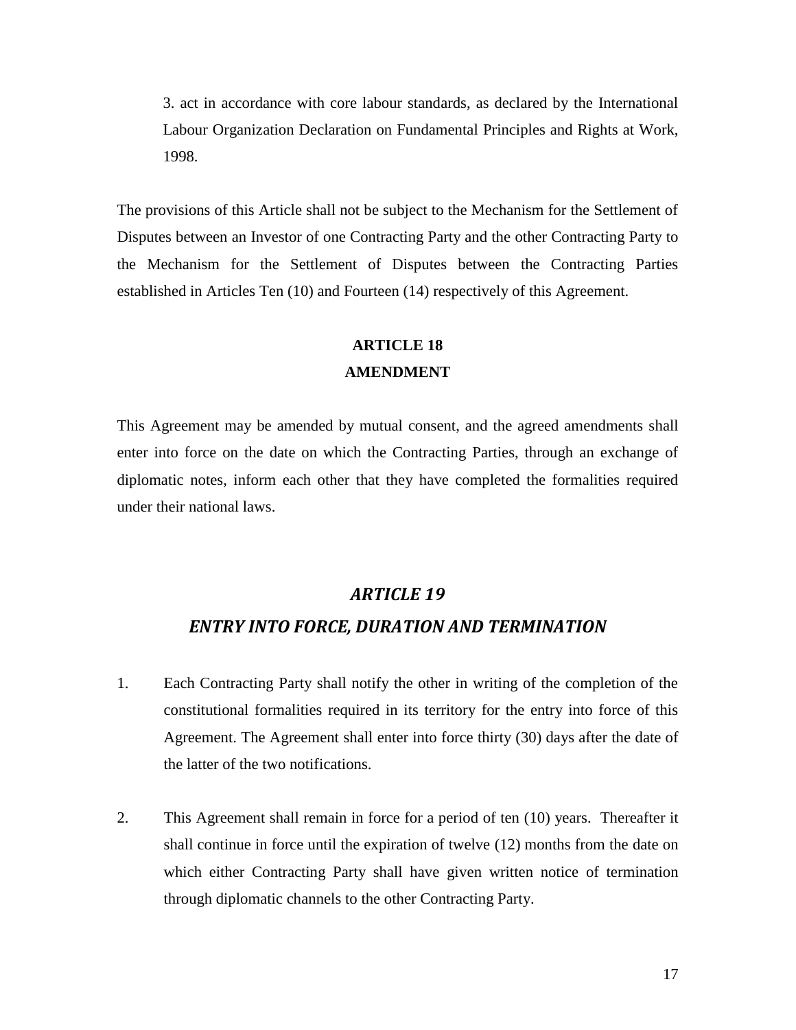3. act in accordance with core labour standards, as declared by the International Labour Organization Declaration on Fundamental Principles and Rights at Work, 1998.

The provisions of this Article shall not be subject to the Mechanism for the Settlement of Disputes between an Investor of one Contracting Party and the other Contracting Party to the Mechanism for the Settlement of Disputes between the Contracting Parties established in Articles Ten (10) and Fourteen (14) respectively of this Agreement.

### **ARTICLE 18**

#### **AMENDMENT**

This Agreement may be amended by mutual consent, and the agreed amendments shall enter into force on the date on which the Contracting Parties, through an exchange of diplomatic notes, inform each other that they have completed the formalities required under their national laws.

#### *ARTICLE 19*

#### *ENTRY INTO FORCE, DURATION AND TERMINATION*

- 1. Each Contracting Party shall notify the other in writing of the completion of the constitutional formalities required in its territory for the entry into force of this Agreement. The Agreement shall enter into force thirty (30) days after the date of the latter of the two notifications.
- 2. This Agreement shall remain in force for a period of ten (10) years. Thereafter it shall continue in force until the expiration of twelve (12) months from the date on which either Contracting Party shall have given written notice of termination through diplomatic channels to the other Contracting Party.